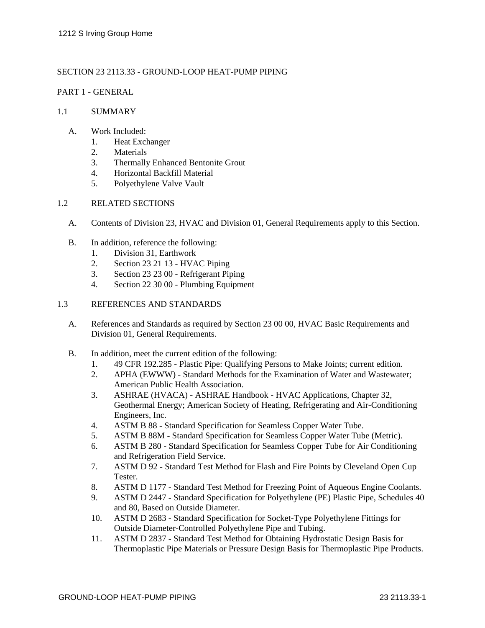## SECTION 23 2113.33 - GROUND-LOOP HEAT-PUMP PIPING

## PART 1 - GENERAL

## 1.1 SUMMARY

### A. Work Included:

- 1. Heat Exchanger
- 2. Materials
- 3. Thermally Enhanced Bentonite Grout
- 4. Horizontal Backfill Material
- 5. Polyethylene Valve Vault

## 1.2 RELATED SECTIONS

- A. Contents of Division 23, HVAC and Division 01, General Requirements apply to this Section.
- B. In addition, reference the following:
	- 1. Division 31, Earthwork
	- 2. Section 23 21 13 HVAC Piping
	- 3. Section 23 23 00 Refrigerant Piping
	- 4. Section 22 30 00 Plumbing Equipment

#### 1.3 REFERENCES AND STANDARDS

- A. References and Standards as required by Section 23 00 00, HVAC Basic Requirements and Division 01, General Requirements.
- B. In addition, meet the current edition of the following:
	- 1. 49 CFR 192.285 Plastic Pipe: Qualifying Persons to Make Joints; current edition.
	- 2. APHA (EWWW) Standard Methods for the Examination of Water and Wastewater; American Public Health Association.
	- 3. ASHRAE (HVACA) ASHRAE Handbook HVAC Applications, Chapter 32, Geothermal Energy; American Society of Heating, Refrigerating and Air-Conditioning Engineers, Inc.
	- 4. ASTM B 88 Standard Specification for Seamless Copper Water Tube.
	- 5. ASTM B 88M Standard Specification for Seamless Copper Water Tube (Metric).
	- 6. ASTM B 280 Standard Specification for Seamless Copper Tube for Air Conditioning and Refrigeration Field Service.
	- 7. ASTM D 92 Standard Test Method for Flash and Fire Points by Cleveland Open Cup Tester.
	- 8. ASTM D 1177 Standard Test Method for Freezing Point of Aqueous Engine Coolants.
	- 9. ASTM D 2447 Standard Specification for Polyethylene (PE) Plastic Pipe, Schedules 40 and 80, Based on Outside Diameter.
	- 10. ASTM D 2683 Standard Specification for Socket-Type Polyethylene Fittings for Outside Diameter-Controlled Polyethylene Pipe and Tubing.
	- 11. ASTM D 2837 Standard Test Method for Obtaining Hydrostatic Design Basis for Thermoplastic Pipe Materials or Pressure Design Basis for Thermoplastic Pipe Products.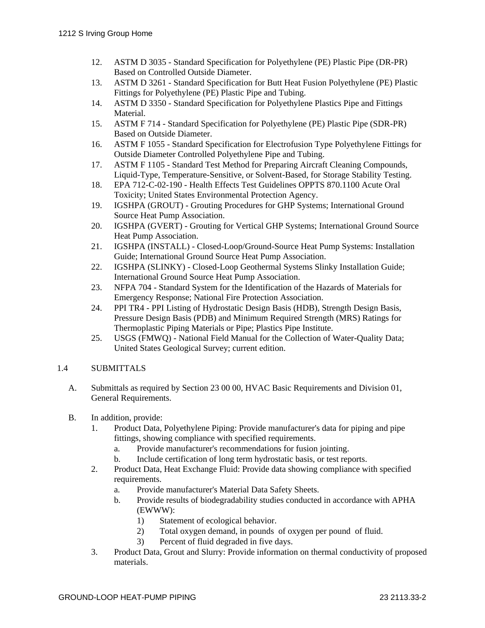- 12. ASTM D 3035 Standard Specification for Polyethylene (PE) Plastic Pipe (DR-PR) Based on Controlled Outside Diameter.
- 13. ASTM D 3261 Standard Specification for Butt Heat Fusion Polyethylene (PE) Plastic Fittings for Polyethylene (PE) Plastic Pipe and Tubing.
- 14. ASTM D 3350 Standard Specification for Polyethylene Plastics Pipe and Fittings Material.
- 15. ASTM F 714 Standard Specification for Polyethylene (PE) Plastic Pipe (SDR-PR) Based on Outside Diameter.
- 16. ASTM F 1055 Standard Specification for Electrofusion Type Polyethylene Fittings for Outside Diameter Controlled Polyethylene Pipe and Tubing.
- 17. ASTM F 1105 Standard Test Method for Preparing Aircraft Cleaning Compounds, Liquid-Type, Temperature-Sensitive, or Solvent-Based, for Storage Stability Testing.
- 18. EPA 712-C-02-190 Health Effects Test Guidelines OPPTS 870.1100 Acute Oral Toxicity; United States Environmental Protection Agency.
- 19. IGSHPA (GROUT) Grouting Procedures for GHP Systems; International Ground Source Heat Pump Association.
- 20. IGSHPA (GVERT) Grouting for Vertical GHP Systems; International Ground Source Heat Pump Association.
- 21. IGSHPA (INSTALL) Closed-Loop/Ground-Source Heat Pump Systems: Installation Guide; International Ground Source Heat Pump Association.
- 22. IGSHPA (SLINKY) Closed-Loop Geothermal Systems Slinky Installation Guide; International Ground Source Heat Pump Association.
- 23. NFPA 704 Standard System for the Identification of the Hazards of Materials for Emergency Response; National Fire Protection Association.
- 24. PPI TR4 PPI Listing of Hydrostatic Design Basis (HDB), Strength Design Basis, Pressure Design Basis (PDB) and Minimum Required Strength (MRS) Ratings for Thermoplastic Piping Materials or Pipe; Plastics Pipe Institute.
- 25. USGS (FMWQ) National Field Manual for the Collection of Water-Quality Data; United States Geological Survey; current edition.

# 1.4 SUBMITTALS

- A. Submittals as required by Section 23 00 00, HVAC Basic Requirements and Division 01, General Requirements.
- B. In addition, provide:
	- 1. Product Data, Polyethylene Piping: Provide manufacturer's data for piping and pipe fittings, showing compliance with specified requirements.
		- a. Provide manufacturer's recommendations for fusion jointing.
		- b. Include certification of long term hydrostatic basis, or test reports.
	- 2. Product Data, Heat Exchange Fluid: Provide data showing compliance with specified requirements.
		- a. Provide manufacturer's Material Data Safety Sheets.
		- b. Provide results of biodegradability studies conducted in accordance with APHA (EWWW):
			- 1) Statement of ecological behavior.
			- 2) Total oxygen demand, in pounds of oxygen per pound of fluid.
			- 3) Percent of fluid degraded in five days.
	- 3. Product Data, Grout and Slurry: Provide information on thermal conductivity of proposed materials.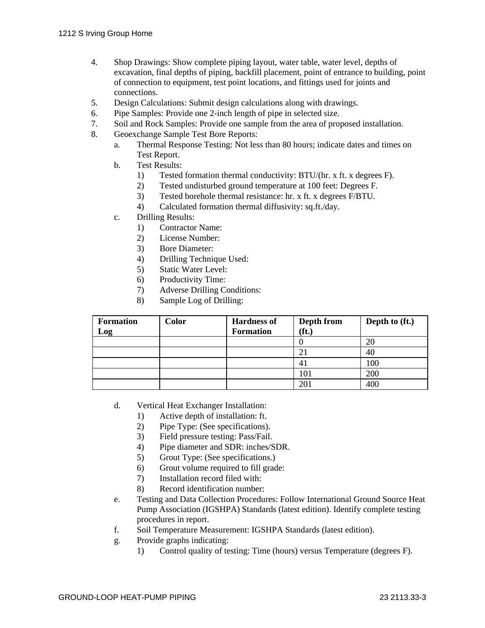- 4. Shop Drawings: Show complete piping layout, water table, water level, depths of excavation, final depths of piping, backfill placement, point of entrance to building, point of connection to equipment, test point locations, and fittings used for joints and connections.
- 5. Design Calculations: Submit design calculations along with drawings.
- 6. Pipe Samples: Provide one 2-inch length of pipe in selected size.
- 7. Soil and Rock Samples: Provide one sample from the area of proposed installation.
- 8. Geoexchange Sample Test Bore Reports:
	- a. Thermal Response Testing: Not less than 80 hours; indicate dates and times on Test Report.
	- b. Test Results:
		- 1) Tested formation thermal conductivity: BTU/(hr. x ft. x degrees F).
		- 2) Tested undisturbed ground temperature at 100 feet: Degrees F.
		- 3) Tested borehole thermal resistance: hr. x ft. x degrees F/BTU.
		- 4) Calculated formation thermal diffusivity: sq.ft./day.
	- c. Drilling Results:
		- 1) Contractor Name:
		- 2) License Number:
		- 3) Bore Diameter:
		- 4) Drilling Technique Used:
		- 5) Static Water Level:
		- 6) Productivity Time:
		- 7) Adverse Drilling Conditions:
		- 8) Sample Log of Drilling:

| <b>Formation</b> | Color | <b>Hardness of</b> | Depth from        | Depth to (ft.) |
|------------------|-------|--------------------|-------------------|----------------|
| Log              |       | <b>Formation</b>   | (f <sub>t</sub> ) |                |
|                  |       |                    |                   | 20             |
|                  |       |                    | $\mathfrak{2}$ .  | 40             |
|                  |       |                    | 4 <sub>1</sub>    | 100            |
|                  |       |                    | 101               | 200            |
|                  |       |                    | 201               | 400            |

- d. Vertical Heat Exchanger Installation:
	- 1) Active depth of installation: ft.
	- 2) Pipe Type: (See specifications).
	- 3) Field pressure testing: Pass/Fail.
	- 4) Pipe diameter and SDR: inches/SDR.
	- 5) Grout Type: (See specifications.)
	- 6) Grout volume required to fill grade:
	- 7) Installation record filed with:
	- 8) Record identification number:
- e. Testing and Data Collection Procedures: Follow International Ground Source Heat Pump Association (IGSHPA) Standards (latest edition). Identify complete testing procedures in report.
- f. Soil Temperature Measurement: IGSHPA Standards (latest edition).
- g. Provide graphs indicating:
	- 1) Control quality of testing: Time (hours) versus Temperature (degrees F).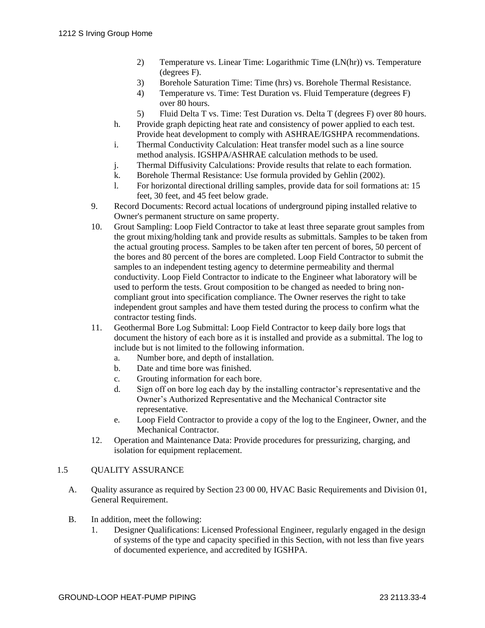- 2) Temperature vs. Linear Time: Logarithmic Time (LN(hr)) vs. Temperature (degrees F).
- 3) Borehole Saturation Time: Time (hrs) vs. Borehole Thermal Resistance.
- 4) Temperature vs. Time: Test Duration vs. Fluid Temperature (degrees F) over 80 hours.
- 5) Fluid Delta T vs. Time: Test Duration vs. Delta T (degrees F) over 80 hours.
- h. Provide graph depicting heat rate and consistency of power applied to each test. Provide heat development to comply with ASHRAE/IGSHPA recommendations.
- i. Thermal Conductivity Calculation: Heat transfer model such as a line source method analysis. IGSHPA/ASHRAE calculation methods to be used.
- j. Thermal Diffusivity Calculations: Provide results that relate to each formation.
- k. Borehole Thermal Resistance: Use formula provided by Gehlin (2002).
- l. For horizontal directional drilling samples, provide data for soil formations at: 15 feet, 30 feet, and 45 feet below grade.
- 9. Record Documents: Record actual locations of underground piping installed relative to Owner's permanent structure on same property.
- 10. Grout Sampling: Loop Field Contractor to take at least three separate grout samples from the grout mixing/holding tank and provide results as submittals. Samples to be taken from the actual grouting process. Samples to be taken after ten percent of bores, 50 percent of the bores and 80 percent of the bores are completed. Loop Field Contractor to submit the samples to an independent testing agency to determine permeability and thermal conductivity. Loop Field Contractor to indicate to the Engineer what laboratory will be used to perform the tests. Grout composition to be changed as needed to bring noncompliant grout into specification compliance. The Owner reserves the right to take independent grout samples and have them tested during the process to confirm what the contractor testing finds.
- 11. Geothermal Bore Log Submittal: Loop Field Contractor to keep daily bore logs that document the history of each bore as it is installed and provide as a submittal. The log to include but is not limited to the following information.
	- a. Number bore, and depth of installation.
	- b. Date and time bore was finished.
	- c. Grouting information for each bore.
	- d. Sign off on bore log each day by the installing contractor's representative and the Owner's Authorized Representative and the Mechanical Contractor site representative.
	- e. Loop Field Contractor to provide a copy of the log to the Engineer, Owner, and the Mechanical Contractor.
- 12. Operation and Maintenance Data: Provide procedures for pressurizing, charging, and isolation for equipment replacement.

## 1.5 QUALITY ASSURANCE

- A. Quality assurance as required by Section 23 00 00, HVAC Basic Requirements and Division 01, General Requirement.
- B. In addition, meet the following:
	- 1. Designer Qualifications: Licensed Professional Engineer, regularly engaged in the design of systems of the type and capacity specified in this Section, with not less than five years of documented experience, and accredited by IGSHPA.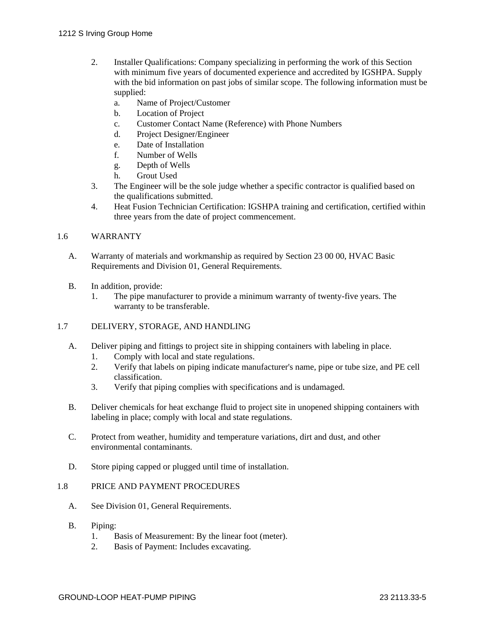- 2. Installer Qualifications: Company specializing in performing the work of this Section with minimum five years of documented experience and accredited by IGSHPA. Supply with the bid information on past jobs of similar scope. The following information must be supplied:
	- a. Name of Project/Customer
	- b. Location of Project
	- c. Customer Contact Name (Reference) with Phone Numbers
	- d. Project Designer/Engineer
	- e. Date of Installation
	- f. Number of Wells
	- g. Depth of Wells
	- h. Grout Used
- 3. The Engineer will be the sole judge whether a specific contractor is qualified based on the qualifications submitted.
- 4. Heat Fusion Technician Certification: IGSHPA training and certification, certified within three years from the date of project commencement.

## 1.6 WARRANTY

- A. Warranty of materials and workmanship as required by Section 23 00 00, HVAC Basic Requirements and Division 01, General Requirements.
- B. In addition, provide:
	- 1. The pipe manufacturer to provide a minimum warranty of twenty-five years. The warranty to be transferable.

## 1.7 DELIVERY, STORAGE, AND HANDLING

- A. Deliver piping and fittings to project site in shipping containers with labeling in place.
	- 1. Comply with local and state regulations.
	- 2. Verify that labels on piping indicate manufacturer's name, pipe or tube size, and PE cell classification.
	- 3. Verify that piping complies with specifications and is undamaged.
- B. Deliver chemicals for heat exchange fluid to project site in unopened shipping containers with labeling in place; comply with local and state regulations.
- C. Protect from weather, humidity and temperature variations, dirt and dust, and other environmental contaminants.
- D. Store piping capped or plugged until time of installation.

## 1.8 PRICE AND PAYMENT PROCEDURES

- A. See Division 01, General Requirements.
- B. Piping:
	- 1. Basis of Measurement: By the linear foot (meter).
	- 2. Basis of Payment: Includes excavating.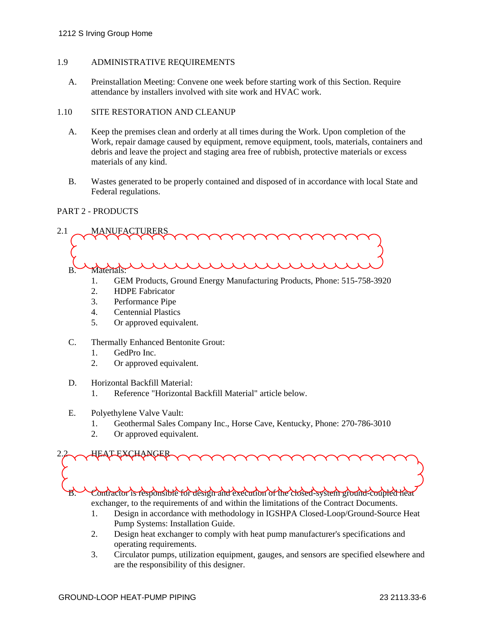#### 1.9 ADMINISTRATIVE REQUIREMENTS

A. Preinstallation Meeting: Convene one week before starting work of this Section. Require attendance by installers involved with site work and HVAC work.

#### 1.10 SITE RESTORATION AND CLEANUP

- A. Keep the premises clean and orderly at all times during the Work. Upon completion of the Work, repair damage caused by equipment, remove equipment, tools, materials, containers and debris and leave the project and staging area free of rubbish, protective materials or excess materials of any kind.
- B. Wastes generated to be properly contained and disposed of in accordance with local State and Federal regulations.

## PART 2 - PRODUCTS



- 1. GEM Products, Ground Energy Manufacturing Products, Phone: 515-758-3920
- 2. HDPE Fabricator
- 3. Performance Pipe
- 4. Centennial Plastics
- 5. Or approved equivalent.
- C. Thermally Enhanced Bentonite Grout:
	- 1. GedPro Inc.
	- 2. Or approved equivalent.
- D. Horizontal Backfill Material:
	- 1. Reference "Horizontal Backfill Material" article below.
- E. Polyethylene Valve Vault:
	- 1. Geothermal Sales Company Inc., Horse Cave, Kentucky, Phone: 270-786-3010
	- 2. Or approved equivalent.

2.2 HEAT EXCHANGER

B. Contractor is responsible for design and execution of the closed-system ground-coupled heat

exchanger, to the requirements of and within the limitations of the Contract Documents.

- 1. Design in accordance with methodology in IGSHPA Closed-Loop/Ground-Source Heat Pump Systems: Installation Guide.
- 2. Design heat exchanger to comply with heat pump manufacturer's specifications and operating requirements.
- 3. Circulator pumps, utilization equipment, gauges, and sensors are specified elsewhere and are the responsibility of this designer.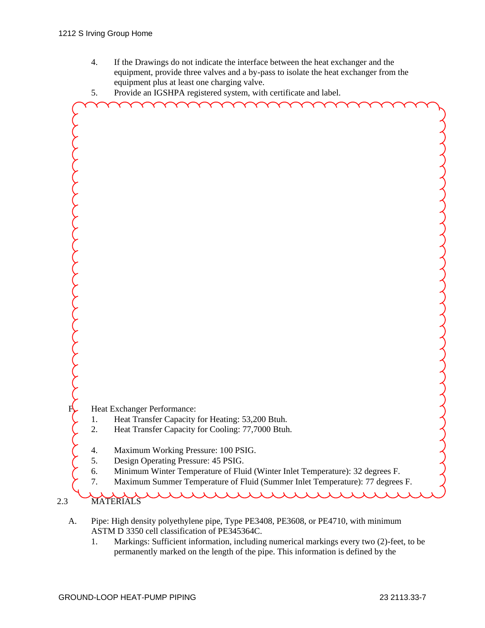- 4. If the Drawings do not indicate the interface between the heat exchanger and the equipment, provide three valves and a by-pass to isolate the heat exchanger from the equipment plus at least one charging valve.
- 5. Provide an IGSHPA registered system, with certificate and label.



- A. Pipe: High density polyethylene pipe, Type PE3408, PE3608, or PE4710, with minimum ASTM D 3350 cell classification of PE345364C.
	- 1. Markings: Sufficient information, including numerical markings every two (2)-feet, to be permanently marked on the length of the pipe. This information is defined by the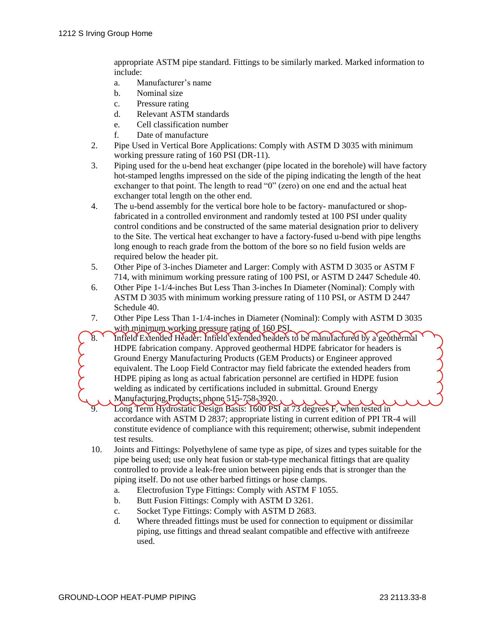appropriate ASTM pipe standard. Fittings to be similarly marked. Marked information to include:

- a. Manufacturer's name
- b. Nominal size
- c. Pressure rating
- d. Relevant ASTM standards
- e. Cell classification number
- f. Date of manufacture
- 2. Pipe Used in Vertical Bore Applications: Comply with ASTM D 3035 with minimum working pressure rating of 160 PSI (DR-11).
- 3. Piping used for the u-bend heat exchanger (pipe located in the borehole) will have factory hot-stamped lengths impressed on the side of the piping indicating the length of the heat exchanger to that point. The length to read "0" (zero) on one end and the actual heat exchanger total length on the other end.
- 4. The u-bend assembly for the vertical bore hole to be factory- manufactured or shopfabricated in a controlled environment and randomly tested at 100 PSI under quality control conditions and be constructed of the same material designation prior to delivery to the Site. The vertical heat exchanger to have a factory-fused u-bend with pipe lengths long enough to reach grade from the bottom of the bore so no field fusion welds are required below the header pit.
- 5. Other Pipe of 3-inches Diameter and Larger: Comply with ASTM D 3035 or ASTM F 714, with minimum working pressure rating of 100 PSI, or ASTM D 2447 Schedule 40.
- 6. Other Pipe 1-1/4-inches But Less Than 3-inches In Diameter (Nominal): Comply with ASTM D 3035 with minimum working pressure rating of 110 PSI, or ASTM D 2447 Schedule 40.
- 7. Other Pipe Less Than 1-1/4-inches in Diameter (Nominal): Comply with ASTM D 3035 with minimum working pressure rating of 160 PSI.
- 8. Infield Extended Header: Infield extended headers to be manufactured by a geothermal HDPE fabrication company. Approved geothermal HDPE fabricator for headers is Ground Energy Manufacturing Products (GEM Products) or Engineer approved equivalent. The Loop Field Contractor may field fabricate the extended headers from HDPE piping as long as actual fabrication personnel are certified in HDPE fusion welding as indicated by certifications included in submittal. Ground Energy Manufacturing Products; phone 515-758-3920.
	- Long Term Hydrostatic Design Basis: 1600 PSI at 73 degrees F, when tested in accordance with ASTM D 2837; appropriate listing in current edition of PPI TR-4 will constitute evidence of compliance with this requirement; otherwise, submit independent test results.
	- 10. Joints and Fittings: Polyethylene of same type as pipe, of sizes and types suitable for the pipe being used; use only heat fusion or stab-type mechanical fittings that are quality controlled to provide a leak-free union between piping ends that is stronger than the piping itself. Do not use other barbed fittings or hose clamps.
		- a. Electrofusion Type Fittings: Comply with ASTM F 1055.
		- b. Butt Fusion Fittings: Comply with ASTM D 3261.
		- c. Socket Type Fittings: Comply with ASTM D 2683.
		- d. Where threaded fittings must be used for connection to equipment or dissimilar piping, use fittings and thread sealant compatible and effective with antifreeze used.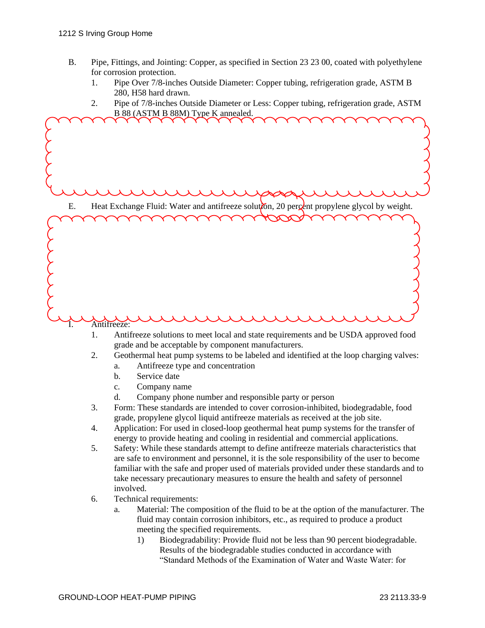- B. Pipe, Fittings, and Jointing: Copper, as specified in Section 23 23 00, coated with polyethylene for corrosion protection.
	- 1. Pipe Over 7/8-inches Outside Diameter: Copper tubing, refrigeration grade, ASTM B 280, H58 hard drawn.
	- 2. Pipe of 7/8-inches Outside Diameter or Less: Copper tubing, refrigeration grade, ASTM B 88 (ASTM B 88M) Type K annealed.

E. Heat Exchange Fluid: Water and antifreeze solution, 20 percent propylene glycol by weight. Antifreeze:

- 1. Antifreeze solutions to meet local and state requirements and be USDA approved food grade and be acceptable by component manufacturers.
- 2. Geothermal heat pump systems to be labeled and identified at the loop charging valves:
	- a. Antifreeze type and concentration
	- b. Service date
	- c. Company name
	- d. Company phone number and responsible party or person
- 3. Form: These standards are intended to cover corrosion-inhibited, biodegradable, food grade, propylene glycol liquid antifreeze materials as received at the job site.
- 4. Application: For used in closed-loop geothermal heat pump systems for the transfer of energy to provide heating and cooling in residential and commercial applications.
- 5. Safety: While these standards attempt to define antifreeze materials characteristics that are safe to environment and personnel, it is the sole responsibility of the user to become familiar with the safe and proper used of materials provided under these standards and to take necessary precautionary measures to ensure the health and safety of personnel involved.
- 6. Technical requirements:
	- a. Material: The composition of the fluid to be at the option of the manufacturer. The fluid may contain corrosion inhibitors, etc., as required to produce a product meeting the specified requirements.
		- 1) Biodegradability: Provide fluid not be less than 90 percent biodegradable. Results of the biodegradable studies conducted in accordance with "Standard Methods of the Examination of Water and Waste Water: for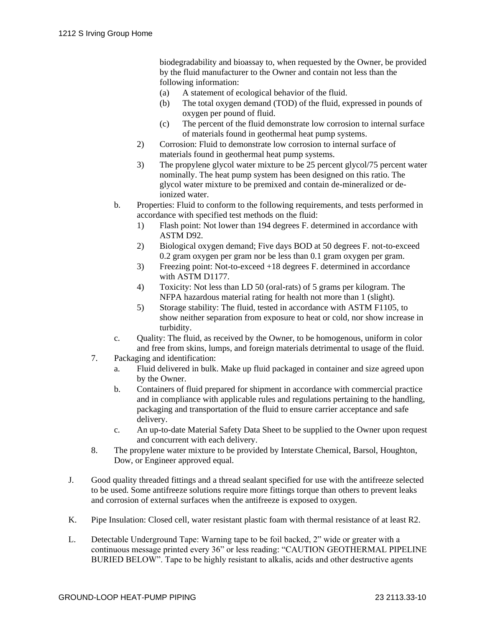biodegradability and bioassay to, when requested by the Owner, be provided by the fluid manufacturer to the Owner and contain not less than the following information:

- (a) A statement of ecological behavior of the fluid.
- (b) The total oxygen demand (TOD) of the fluid, expressed in pounds of oxygen per pound of fluid.
- (c) The percent of the fluid demonstrate low corrosion to internal surface of materials found in geothermal heat pump systems.
- 2) Corrosion: Fluid to demonstrate low corrosion to internal surface of materials found in geothermal heat pump systems.
- 3) The propylene glycol water mixture to be 25 percent glycol/75 percent water nominally. The heat pump system has been designed on this ratio. The glycol water mixture to be premixed and contain de-mineralized or deionized water.
- b. Properties: Fluid to conform to the following requirements, and tests performed in accordance with specified test methods on the fluid:
	- 1) Flash point: Not lower than 194 degrees F. determined in accordance with ASTM D92.
	- 2) Biological oxygen demand; Five days BOD at 50 degrees F. not-to-exceed 0.2 gram oxygen per gram nor be less than 0.1 gram oxygen per gram.
	- 3) Freezing point: Not-to-exceed +18 degrees F. determined in accordance with ASTM D1177.
	- 4) Toxicity: Not less than LD 50 (oral-rats) of 5 grams per kilogram. The NFPA hazardous material rating for health not more than 1 (slight).
	- 5) Storage stability: The fluid, tested in accordance with ASTM F1105, to show neither separation from exposure to heat or cold, nor show increase in turbidity.
- c. Quality: The fluid, as received by the Owner, to be homogenous, uniform in color and free from skins, lumps, and foreign materials detrimental to usage of the fluid.
- 7. Packaging and identification:
	- a. Fluid delivered in bulk. Make up fluid packaged in container and size agreed upon by the Owner.
	- b. Containers of fluid prepared for shipment in accordance with commercial practice and in compliance with applicable rules and regulations pertaining to the handling, packaging and transportation of the fluid to ensure carrier acceptance and safe delivery.
	- c. An up-to-date Material Safety Data Sheet to be supplied to the Owner upon request and concurrent with each delivery.
- 8. The propylene water mixture to be provided by Interstate Chemical, Barsol, Houghton, Dow, or Engineer approved equal.
- J. Good quality threaded fittings and a thread sealant specified for use with the antifreeze selected to be used. Some antifreeze solutions require more fittings torque than others to prevent leaks and corrosion of external surfaces when the antifreeze is exposed to oxygen.
- K. Pipe Insulation: Closed cell, water resistant plastic foam with thermal resistance of at least R2.
- L. Detectable Underground Tape: Warning tape to be foil backed, 2" wide or greater with a continuous message printed every 36" or less reading: "CAUTION GEOTHERMAL PIPELINE BURIED BELOW". Tape to be highly resistant to alkalis, acids and other destructive agents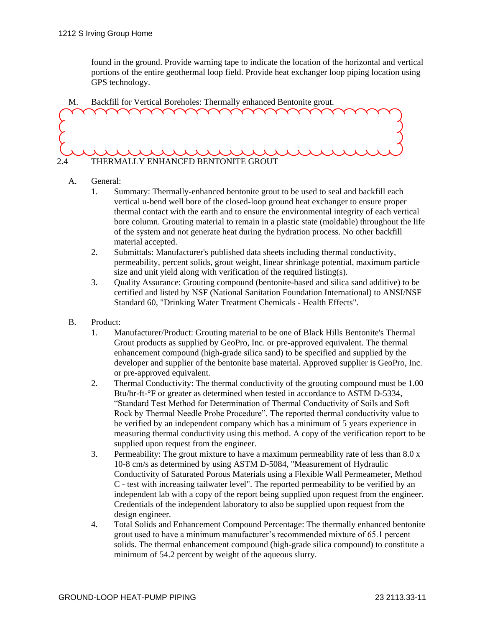found in the ground. Provide warning tape to indicate the location of the horizontal and vertical portions of the entire geothermal loop field. Provide heat exchanger loop piping location using GPS technology.





- A. General:
	- 1. Summary: Thermally-enhanced bentonite grout to be used to seal and backfill each vertical u-bend well bore of the closed-loop ground heat exchanger to ensure proper thermal contact with the earth and to ensure the environmental integrity of each vertical bore column. Grouting material to remain in a plastic state (moldable) throughout the life of the system and not generate heat during the hydration process. No other backfill material accepted.
	- 2. Submittals: Manufacturer's published data sheets including thermal conductivity, permeability, percent solids, grout weight, linear shrinkage potential, maximum particle size and unit yield along with verification of the required listing(s).
	- 3. Quality Assurance: Grouting compound (bentonite-based and silica sand additive) to be certified and listed by NSF (National Sanitation Foundation International) to ANSI/NSF Standard 60, "Drinking Water Treatment Chemicals - Health Effects".
- B. Product:
	- 1. Manufacturer/Product: Grouting material to be one of Black Hills Bentonite's Thermal Grout products as supplied by GeoPro, Inc. or pre-approved equivalent. The thermal enhancement compound (high-grade silica sand) to be specified and supplied by the developer and supplier of the bentonite base material. Approved supplier is GeoPro, Inc. or pre-approved equivalent.
	- 2. Thermal Conductivity: The thermal conductivity of the grouting compound must be 1.00 Btu/hr-ft-°F or greater as determined when tested in accordance to ASTM D-5334, "Standard Test Method for Determination of Thermal Conductivity of Soils and Soft Rock by Thermal Needle Probe Procedure". The reported thermal conductivity value to be verified by an independent company which has a minimum of 5 years experience in measuring thermal conductivity using this method. A copy of the verification report to be supplied upon request from the engineer.
	- 3. Permeability: The grout mixture to have a maximum permeability rate of less than 8.0 x 10-8 cm/s as determined by using ASTM D-5084, "Measurement of Hydraulic Conductivity of Saturated Porous Materials using a Flexible Wall Permeameter, Method C - test with increasing tailwater level". The reported permeability to be verified by an independent lab with a copy of the report being supplied upon request from the engineer. Credentials of the independent laboratory to also be supplied upon request from the design engineer.
	- 4. Total Solids and Enhancement Compound Percentage: The thermally enhanced bentonite grout used to have a minimum manufacturer's recommended mixture of 65.1 percent solids. The thermal enhancement compound (high-grade silica compound) to constitute a minimum of 54.2 percent by weight of the aqueous slurry.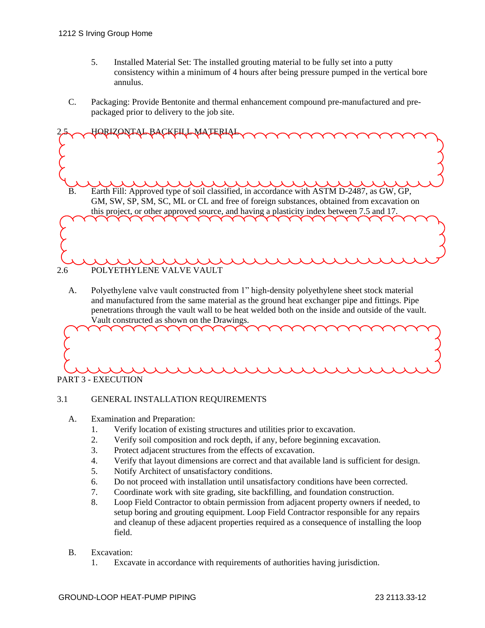- 5. Installed Material Set: The installed grouting material to be fully set into a putty consistency within a minimum of 4 hours after being pressure pumped in the vertical bore annulus.
- C. Packaging: Provide Bentonite and thermal enhancement compound pre-manufactured and prepackaged prior to delivery to the job site.



A. Polyethylene valve vault constructed from 1" high-density polyethylene sheet stock material and manufactured from the same material as the ground heat exchanger pipe and fittings. Pipe penetrations through the vault wall to be heat welded both on the inside and outside of the vault. Vault constructed as shown on the Drawings.



## 3.1 GENERAL INSTALLATION REQUIREMENTS

- A. Examination and Preparation:
	- 1. Verify location of existing structures and utilities prior to excavation.
	- 2. Verify soil composition and rock depth, if any, before beginning excavation.
	- 3. Protect adjacent structures from the effects of excavation.
	- 4. Verify that layout dimensions are correct and that available land is sufficient for design.
	- 5. Notify Architect of unsatisfactory conditions.
	- 6. Do not proceed with installation until unsatisfactory conditions have been corrected.
	- 7. Coordinate work with site grading, site backfilling, and foundation construction.
	- 8. Loop Field Contractor to obtain permission from adjacent property owners if needed, to setup boring and grouting equipment. Loop Field Contractor responsible for any repairs and cleanup of these adjacent properties required as a consequence of installing the loop field.
- B. Excavation:
	- 1. Excavate in accordance with requirements of authorities having jurisdiction.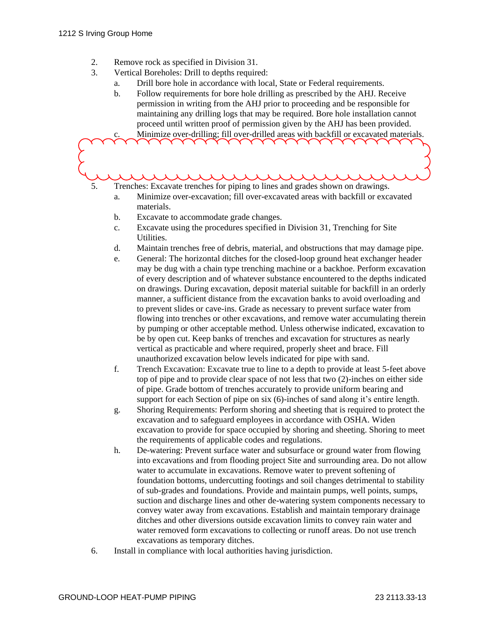- 2. Remove rock as specified in Division 31.
- 3. Vertical Boreholes: Drill to depths required:
	- a. Drill bore hole in accordance with local, State or Federal requirements.
	- b. Follow requirements for bore hole drilling as prescribed by the AHJ. Receive permission in writing from the AHJ prior to proceeding and be responsible for maintaining any drilling logs that may be required. Bore hole installation cannot proceed until written proof of permission given by the AHJ has been provided.

c. Minimize over-drilling; fill over-drilled areas with backfill or excavated materials.

 $\lambda$   $\lambda$   $\lambda$  $\lambda$ 

- 5. Trenches: Excavate trenches for piping to lines and grades shown on drawings.
	- a. Minimize over-excavation; fill over-excavated areas with backfill or excavated materials.
	- b. Excavate to accommodate grade changes.
	- c. Excavate using the procedures specified in Division 31, Trenching for Site **Utilities**
	- d. Maintain trenches free of debris, material, and obstructions that may damage pipe.
	- e. General: The horizontal ditches for the closed-loop ground heat exchanger header may be dug with a chain type trenching machine or a backhoe. Perform excavation of every description and of whatever substance encountered to the depths indicated on drawings. During excavation, deposit material suitable for backfill in an orderly manner, a sufficient distance from the excavation banks to avoid overloading and to prevent slides or cave-ins. Grade as necessary to prevent surface water from flowing into trenches or other excavations, and remove water accumulating therein by pumping or other acceptable method. Unless otherwise indicated, excavation to be by open cut. Keep banks of trenches and excavation for structures as nearly vertical as practicable and where required, properly sheet and brace. Fill unauthorized excavation below levels indicated for pipe with sand.
	- f. Trench Excavation: Excavate true to line to a depth to provide at least 5-feet above top of pipe and to provide clear space of not less that two (2)-inches on either side of pipe. Grade bottom of trenches accurately to provide uniform bearing and support for each Section of pipe on six (6)-inches of sand along it's entire length.
	- g. Shoring Requirements: Perform shoring and sheeting that is required to protect the excavation and to safeguard employees in accordance with OSHA. Widen excavation to provide for space occupied by shoring and sheeting. Shoring to meet the requirements of applicable codes and regulations.
	- h. De-watering: Prevent surface water and subsurface or ground water from flowing into excavations and from flooding project Site and surrounding area. Do not allow water to accumulate in excavations. Remove water to prevent softening of foundation bottoms, undercutting footings and soil changes detrimental to stability of sub-grades and foundations. Provide and maintain pumps, well points, sumps, suction and discharge lines and other de-watering system components necessary to convey water away from excavations. Establish and maintain temporary drainage ditches and other diversions outside excavation limits to convey rain water and water removed form excavations to collecting or runoff areas. Do not use trench excavations as temporary ditches.
- 6. Install in compliance with local authorities having jurisdiction.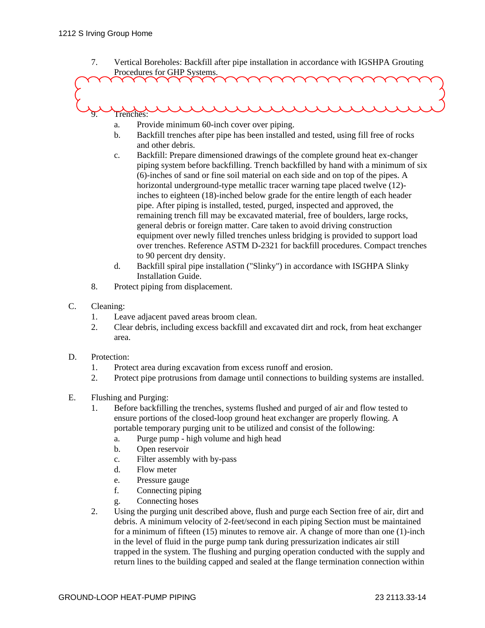7. Vertical Boreholes: Backfill after pipe installation in accordance with IGSHPA Grouting Procedures for GHP Systems.

9. Trenches:

- a. Provide minimum 60-inch cover over piping.
- b. Backfill trenches after pipe has been installed and tested, using fill free of rocks and other debris.
- c. Backfill: Prepare dimensioned drawings of the complete ground heat ex-changer piping system before backfilling. Trench backfilled by hand with a minimum of six (6)-inches of sand or fine soil material on each side and on top of the pipes. A horizontal underground-type metallic tracer warning tape placed twelve (12) inches to eighteen (18)-inched below grade for the entire length of each header pipe. After piping is installed, tested, purged, inspected and approved, the remaining trench fill may be excavated material, free of boulders, large rocks, general debris or foreign matter. Care taken to avoid driving construction equipment over newly filled trenches unless bridging is provided to support load over trenches. Reference ASTM D-2321 for backfill procedures. Compact trenches to 90 percent dry density.
- d. Backfill spiral pipe installation ("Slinky") in accordance with ISGHPA Slinky Installation Guide.
- 8. Protect piping from displacement.
- C. Cleaning:
	- 1. Leave adjacent paved areas broom clean.
	- 2. Clear debris, including excess backfill and excavated dirt and rock, from heat exchanger area.
- D. Protection:
	- 1. Protect area during excavation from excess runoff and erosion.
	- 2. Protect pipe protrusions from damage until connections to building systems are installed.
- E. Flushing and Purging:
	- 1. Before backfilling the trenches, systems flushed and purged of air and flow tested to ensure portions of the closed-loop ground heat exchanger are properly flowing. A portable temporary purging unit to be utilized and consist of the following:
		- a. Purge pump high volume and high head
		- b. Open reservoir
		- c. Filter assembly with by-pass
		- d. Flow meter
		- e. Pressure gauge
		- f. Connecting piping
		- g. Connecting hoses
	- 2. Using the purging unit described above, flush and purge each Section free of air, dirt and debris. A minimum velocity of 2-feet/second in each piping Section must be maintained for a minimum of fifteen (15) minutes to remove air. A change of more than one (1)-inch in the level of fluid in the purge pump tank during pressurization indicates air still trapped in the system. The flushing and purging operation conducted with the supply and return lines to the building capped and sealed at the flange termination connection within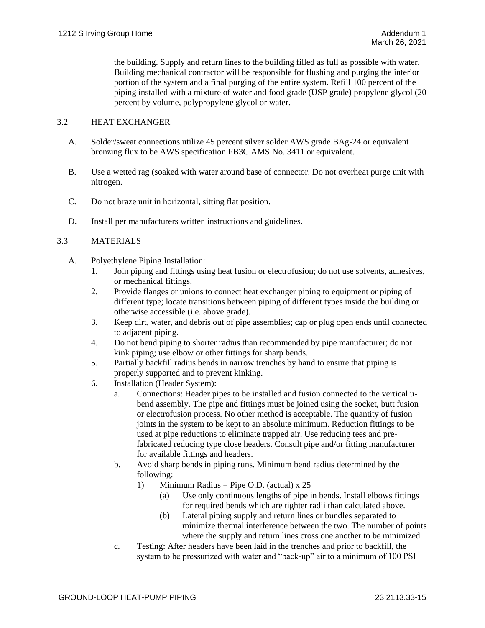the building. Supply and return lines to the building filled as full as possible with water. Building mechanical contractor will be responsible for flushing and purging the interior portion of the system and a final purging of the entire system. Refill 100 percent of the piping installed with a mixture of water and food grade (USP grade) propylene glycol (20 percent by volume, polypropylene glycol or water.

## 3.2 HEAT EXCHANGER

- A. Solder/sweat connections utilize 45 percent silver solder AWS grade BAg-24 or equivalent bronzing flux to be AWS specification FB3C AMS No. 3411 or equivalent.
- B. Use a wetted rag (soaked with water around base of connector. Do not overheat purge unit with nitrogen.
- C. Do not braze unit in horizontal, sitting flat position.
- D. Install per manufacturers written instructions and guidelines.

## 3.3 MATERIALS

- A. Polyethylene Piping Installation:
	- 1. Join piping and fittings using heat fusion or electrofusion; do not use solvents, adhesives, or mechanical fittings.
	- 2. Provide flanges or unions to connect heat exchanger piping to equipment or piping of different type; locate transitions between piping of different types inside the building or otherwise accessible (i.e. above grade).
	- 3. Keep dirt, water, and debris out of pipe assemblies; cap or plug open ends until connected to adjacent piping.
	- 4. Do not bend piping to shorter radius than recommended by pipe manufacturer; do not kink piping; use elbow or other fittings for sharp bends.
	- 5. Partially backfill radius bends in narrow trenches by hand to ensure that piping is properly supported and to prevent kinking.
	- 6. Installation (Header System):
		- a. Connections: Header pipes to be installed and fusion connected to the vertical ubend assembly. The pipe and fittings must be joined using the socket, butt fusion or electrofusion process. No other method is acceptable. The quantity of fusion joints in the system to be kept to an absolute minimum. Reduction fittings to be used at pipe reductions to eliminate trapped air. Use reducing tees and prefabricated reducing type close headers. Consult pipe and/or fitting manufacturer for available fittings and headers.
		- b. Avoid sharp bends in piping runs. Minimum bend radius determined by the following:
			- 1) Minimum Radius = Pipe O.D. (actual)  $x 25$ 
				- (a) Use only continuous lengths of pipe in bends. Install elbows fittings for required bends which are tighter radii than calculated above.
				- (b) Lateral piping supply and return lines or bundles separated to minimize thermal interference between the two. The number of points where the supply and return lines cross one another to be minimized.
		- c. Testing: After headers have been laid in the trenches and prior to backfill, the system to be pressurized with water and "back-up" air to a minimum of 100 PSI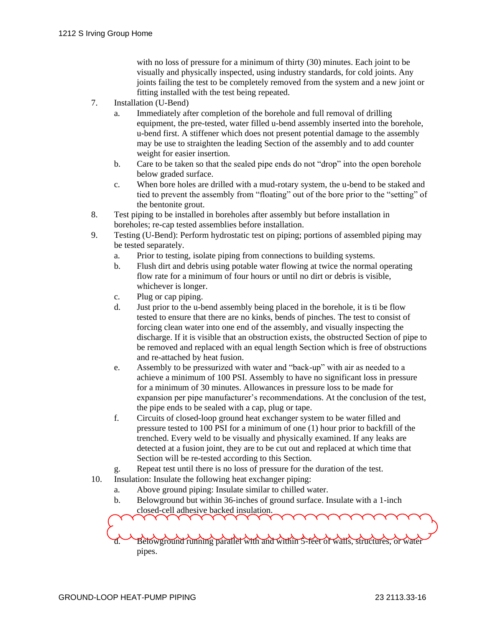with no loss of pressure for a minimum of thirty (30) minutes. Each joint to be visually and physically inspected, using industry standards, for cold joints. Any joints failing the test to be completely removed from the system and a new joint or fitting installed with the test being repeated.

- 7. Installation (U-Bend)
	- a. Immediately after completion of the borehole and full removal of drilling equipment, the pre-tested, water filled u-bend assembly inserted into the borehole, u-bend first. A stiffener which does not present potential damage to the assembly may be use to straighten the leading Section of the assembly and to add counter weight for easier insertion.
	- b. Care to be taken so that the sealed pipe ends do not "drop" into the open borehole below graded surface.
	- c. When bore holes are drilled with a mud-rotary system, the u-bend to be staked and tied to prevent the assembly from "floating" out of the bore prior to the "setting" of the bentonite grout.
- 8. Test piping to be installed in boreholes after assembly but before installation in boreholes; re-cap tested assemblies before installation.
- 9. Testing (U-Bend): Perform hydrostatic test on piping; portions of assembled piping may be tested separately.
	- a. Prior to testing, isolate piping from connections to building systems.
	- b. Flush dirt and debris using potable water flowing at twice the normal operating flow rate for a minimum of four hours or until no dirt or debris is visible, whichever is longer.
	- c. Plug or cap piping.
	- d. Just prior to the u-bend assembly being placed in the borehole, it is ti be flow tested to ensure that there are no kinks, bends of pinches. The test to consist of forcing clean water into one end of the assembly, and visually inspecting the discharge. If it is visible that an obstruction exists, the obstructed Section of pipe to be removed and replaced with an equal length Section which is free of obstructions and re-attached by heat fusion.
	- e. Assembly to be pressurized with water and "back-up" with air as needed to a achieve a minimum of 100 PSI. Assembly to have no significant loss in pressure for a minimum of 30 minutes. Allowances in pressure loss to be made for expansion per pipe manufacturer's recommendations. At the conclusion of the test, the pipe ends to be sealed with a cap, plug or tape.
	- f. Circuits of closed-loop ground heat exchanger system to be water filled and pressure tested to 100 PSI for a minimum of one (1) hour prior to backfill of the trenched. Every weld to be visually and physically examined. If any leaks are detected at a fusion joint, they are to be cut out and replaced at which time that Section will be re-tested according to this Section.
	- g. Repeat test until there is no loss of pressure for the duration of the test.
- 10. Insulation: Insulate the following heat exchanger piping:

 $\checkmark$ 

- a. Above ground piping: Insulate similar to chilled water.
- b. Belowground but within 36-inches of ground surface. Insulate with a 1-inch closed-cell adhesive backed insulation.

d. Belowground running parallel with and within 5-feet of walls, structures, or water pipes.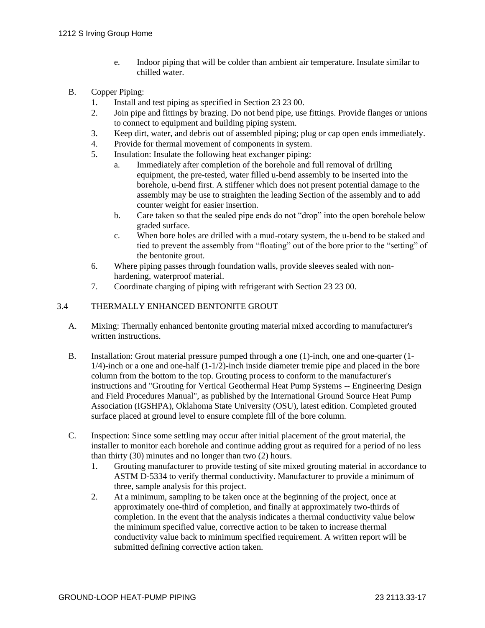e. Indoor piping that will be colder than ambient air temperature. Insulate similar to chilled water.

## B. Copper Piping:

- 1. Install and test piping as specified in Section 23 23 00.
- 2. Join pipe and fittings by brazing. Do not bend pipe, use fittings. Provide flanges or unions to connect to equipment and building piping system.
- 3. Keep dirt, water, and debris out of assembled piping; plug or cap open ends immediately.
- 4. Provide for thermal movement of components in system.
- 5. Insulation: Insulate the following heat exchanger piping:
	- a. Immediately after completion of the borehole and full removal of drilling equipment, the pre-tested, water filled u-bend assembly to be inserted into the borehole, u-bend first. A stiffener which does not present potential damage to the assembly may be use to straighten the leading Section of the assembly and to add counter weight for easier insertion.
	- b. Care taken so that the sealed pipe ends do not "drop" into the open borehole below graded surface.
	- c. When bore holes are drilled with a mud-rotary system, the u-bend to be staked and tied to prevent the assembly from "floating" out of the bore prior to the "setting" of the bentonite grout.
- 6. Where piping passes through foundation walls, provide sleeves sealed with nonhardening, waterproof material.
- 7. Coordinate charging of piping with refrigerant with Section 23 23 00.

## 3.4 THERMALLY ENHANCED BENTONITE GROUT

- A. Mixing: Thermally enhanced bentonite grouting material mixed according to manufacturer's written instructions.
- B. Installation: Grout material pressure pumped through a one (1)-inch, one and one-quarter (1-  $1/4$ -inch or a one and one-half  $(1-1/2)$ -inch inside diameter tremie pipe and placed in the bore column from the bottom to the top. Grouting process to conform to the manufacturer's instructions and "Grouting for Vertical Geothermal Heat Pump Systems -- Engineering Design and Field Procedures Manual", as published by the International Ground Source Heat Pump Association (IGSHPA), Oklahoma State University (OSU), latest edition. Completed grouted surface placed at ground level to ensure complete fill of the bore column.
- C. Inspection: Since some settling may occur after initial placement of the grout material, the installer to monitor each borehole and continue adding grout as required for a period of no less than thirty (30) minutes and no longer than two (2) hours.
	- 1. Grouting manufacturer to provide testing of site mixed grouting material in accordance to ASTM D-5334 to verify thermal conductivity. Manufacturer to provide a minimum of three, sample analysis for this project.
	- 2. At a minimum, sampling to be taken once at the beginning of the project, once at approximately one-third of completion, and finally at approximately two-thirds of completion. In the event that the analysis indicates a thermal conductivity value below the minimum specified value, corrective action to be taken to increase thermal conductivity value back to minimum specified requirement. A written report will be submitted defining corrective action taken.